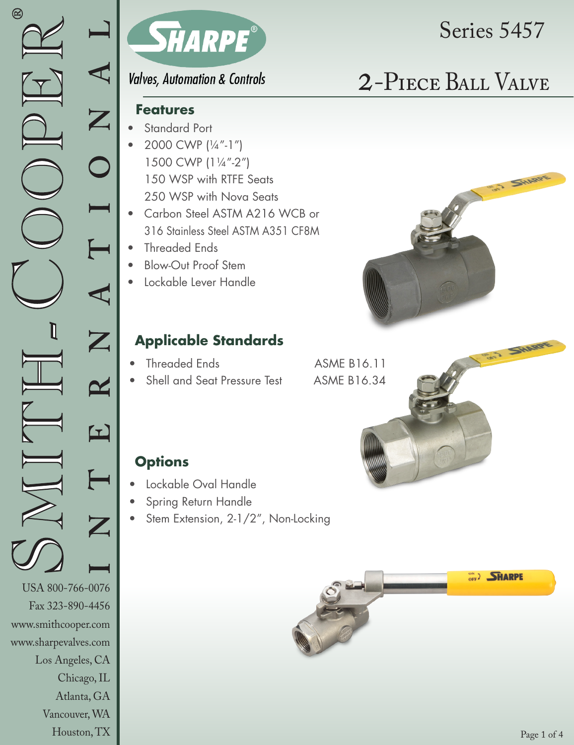www.sharpevalves.com

Los Angeles, CA

Chicago, IL Atlanta, GA

Vancouver, WA Houston, TX



# Series 5457

ART SHARPE

**Valves, Automation & Controls** 

# 2-Piece Ball Valve

### **Features**

- Standard Port
- 2000 CWP (1/4"-1") 1500 CWP (11/4"-2") 150 WSP with RTFE Seats 250 WSP with Nova Seats
- Carbon Steel ASTM A216 WCB or 316 Stainless Steel ASTM A351 CF8M
- Threaded Ends
- Blow-Out Proof Stem
- Lockable Lever Handle

## **Applicable Standards**

- Threaded Ends **ASME B16.11**
- Shell and Seat Pressure Test ASME B16.34

## **Options**

- Lockable Oval Handle
- Spring Return Handle
- Stem Extension, 2-1/2", Non-Locking



SHARDE

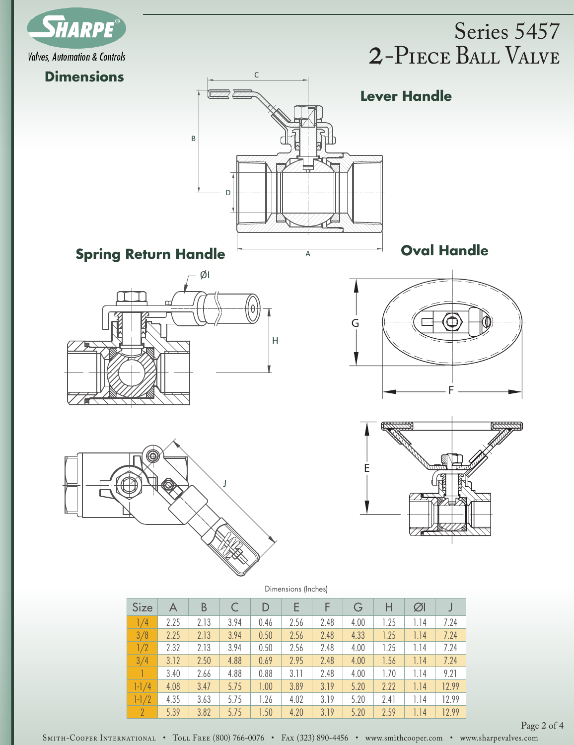

## 2-Piece Ball Valve Series 5457



| Size           | A    | B    |      | D    | E    |      | G    |      | ØI   |       |
|----------------|------|------|------|------|------|------|------|------|------|-------|
| 1/4            | 2.25 | 2.13 | 3.94 | 0.46 | 2.56 | 2.48 | 4.00 | 1.25 | 1.14 | 7.24  |
| 3/8            | 2.25 | 2.13 | 3.94 | 0.50 | 2.56 | 2.48 | 4.33 | 1.25 | 1.14 | 7.24  |
| 1/2            | 2.32 | 2.13 | 3.94 | 0.50 | 2.56 | 2.48 | 4.00 | 1.25 | 1.14 | 7.24  |
| 3/4            | 3.12 | 2.50 | 4.88 | 0.69 | 2.95 | 2.48 | 4.00 | 1.56 | 1.14 | 7.24  |
|                | 3.40 | 2.66 | 4.88 | 0.88 | 3.11 | 2.48 | 4.00 | 1.70 | 1.14 | 9.21  |
| $1 - 1/4$      | 4.08 | 3.47 | 5.75 | 1.00 | 3.89 | 3.19 | 5.20 | 2.22 | 1.14 | 12.99 |
| $1 - 1/2$      | 4.35 | 3.63 | 5.75 | 1.26 | 4.02 | 3.19 | 5.20 | 2.41 | 1.14 | 12.99 |
| $\overline{2}$ | 5.39 | 3.82 | 5.75 | 1.50 | 4.20 | 3.19 | 5.20 | 2.59 | 1.14 | 12.99 |

Page 2 of 4

SMITH-COOPER INTERNATIONAL • TOLL FREE (800) 766-0076 • FAx (323) 890-4456 • www.smithcooper.com • www.sharpevalves.com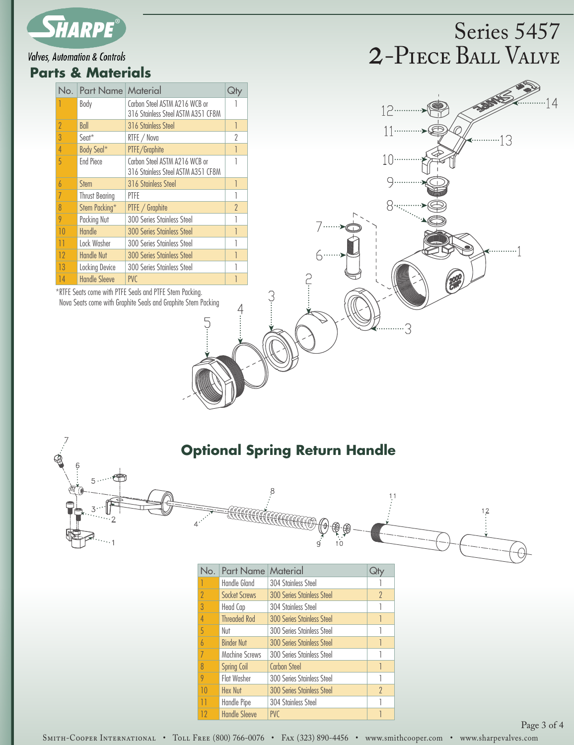

#### **Valves, Automation & Controls**

#### **Parts & Materials**

| No.            | Part Name Material    |                                                                     | J٣       |
|----------------|-----------------------|---------------------------------------------------------------------|----------|
|                | Body                  | Carbon Steel ASTM A216 WCB or<br>316 Stainless Steel ASTM A351 CF8M |          |
| 2              | Ball                  | 316 Stainless Steel                                                 | 1        |
| 3              | $S$ eat $*$           | RTFE / Nova                                                         | 2        |
| $\overline{4}$ | Body Seal*            | PTFE/Graphite                                                       |          |
| 5              | <b>End Piece</b>      | Carbon Steel ASTM A216 WCB or<br>316 Stainless Steel ASTM A351 CF8M | 1        |
| $\overline{b}$ | <b>Stem</b>           | 316 Stainless Steel                                                 | 1        |
| 7              | <b>Thrust Bearing</b> | PTFF                                                                |          |
| 8              | Stem Packing*         | PTFE / Graphite                                                     | $\gamma$ |
| 9              | Packing Nut           | 300 Series Stainless Steel                                          |          |
| 10             | Handle                | <b>300 Series Stainless Steel</b>                                   | 1        |
| 11             | Lock Washer           | 300 Series Stainless Steel                                          |          |
| 12             | <b>Handle Nut</b>     | <b>300 Series Stainless Steel</b>                                   |          |
| 13             | Locking Device        | 300 Series Stainless Steel                                          |          |
| 14             | <b>Handle Sleeve</b>  | <b>PVC</b>                                                          |          |

\*RTFE Seats come with PTFE Seals and PTFE Stem Packing. Nova Seats come with Graphite Seals and Graphite Stem Packing

# 2-Piece Ball Valve Series 5457



# <sub>5</sub>……色

| <b>Optional Spring Return Handle</b> |  |  |  |  |
|--------------------------------------|--|--|--|--|
|--------------------------------------|--|--|--|--|

G.



SMITH-COOPER INTERNATIONAL • TOLL FREE (800) 766-0076 • FAx (323) 890-4456 • www.smithcooper.com • www.sharpevalves.com

Page 3 of 4